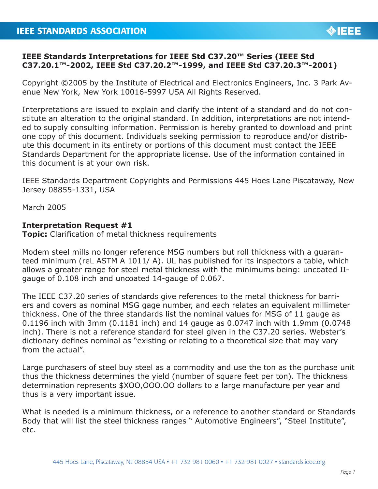## **IEEE Standards Interpretations for IEEE Std C37.20™ Series (IEEE Std C37.20.1™-2002, IEEE Std C37.20.2™-1999, and IEEE Std C37.20.3™-2001)**

Copyright ©2005 by the Institute of Electrical and Electronics Engineers, Inc. 3 Park Avenue New York, New York 10016-5997 USA All Rights Reserved.

Interpretations are issued to explain and clarify the intent of a standard and do not constitute an alteration to the original standard. In addition, interpretations are not intended to supply consulting information. Permission is hereby granted to download and print one copy of this document. Individuals seeking permission to reproduce and/or distribute this document in its entirety or portions of this document must contact the IEEE Standards Department for the appropriate license. Use of the information contained in this document is at your own risk.

IEEE Standards Department Copyrights and Permissions 445 Hoes Lane Piscataway, New Jersey 08855-1331, USA

March 2005

## **Interpretation Request #1**

**Topic:** Clarification of metal thickness requirements

Modem steel mills no longer reference MSG numbers but roll thickness with a guaranteed minimum (reL ASTM A 1011/ A). UL has published for its inspectors a table, which allows a greater range for steel metal thickness with the minimums being: uncoated IIgauge of 0.108 inch and uncoated 14-gauge of 0.067.

The IEEE C37.20 series of standards give references to the metal thickness for barriers and covers as nominal MSG gage number, and each relates an equivalent millimeter thickness. One of the three standards list the nominal values for MSG of 11 gauge as 0.1196 inch with 3mm (0.1181 inch) and 14 gauge as 0.0747 inch with 1.9mm (0.0748 inch). There is not a reference standard for steel given in the C37.20 series. Webster's dictionary defines nominal as "existing or relating to a theoretical size that may vary from the actual".

Large purchasers of steel buy steel as a commodity and use the ton as the purchase unit thus the thickness determines the yield (number of square feet per ton). The thickness determination represents \$XOO,OOO.OO dollars to a large manufacture per year and thus is a very important issue.

What is needed is a minimum thickness, or a reference to another standard or Standards Body that will list the steel thickness ranges " Automotive Engineers", "Steel Institute", etc.